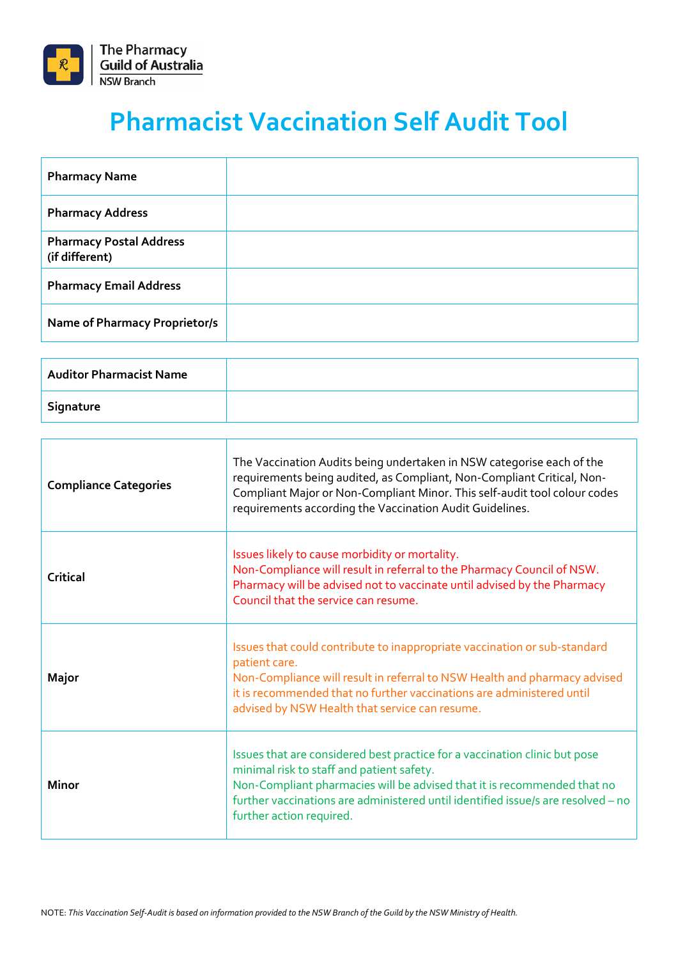

## **Pharmacist Vaccination Self Audit Tool**

| <b>Pharmacy Name</b>                             |  |
|--------------------------------------------------|--|
| <b>Pharmacy Address</b>                          |  |
| <b>Pharmacy Postal Address</b><br>(if different) |  |
| <b>Pharmacy Email Address</b>                    |  |
| <b>Name of Pharmacy Proprietor/s</b>             |  |

| Auditor Pharmacist Name |  |
|-------------------------|--|
| Signature               |  |

| <b>Compliance Categories</b> | The Vaccination Audits being undertaken in NSW categorise each of the<br>requirements being audited, as Compliant, Non-Compliant Critical, Non-<br>Compliant Major or Non-Compliant Minor. This self-audit tool colour codes<br>requirements according the Vaccination Audit Guidelines.                           |
|------------------------------|--------------------------------------------------------------------------------------------------------------------------------------------------------------------------------------------------------------------------------------------------------------------------------------------------------------------|
| Critical                     | Issues likely to cause morbidity or mortality.<br>Non-Compliance will result in referral to the Pharmacy Council of NSW.<br>Pharmacy will be advised not to vaccinate until advised by the Pharmacy<br>Council that the service can resume.                                                                        |
| Major                        | Issues that could contribute to inappropriate vaccination or sub-standard<br>patient care.<br>Non-Compliance will result in referral to NSW Health and pharmacy advised<br>it is recommended that no further vaccinations are administered until<br>advised by NSW Health that service can resume.                 |
| <b>Minor</b>                 | Issues that are considered best practice for a vaccination clinic but pose<br>minimal risk to staff and patient safety.<br>Non-Compliant pharmacies will be advised that it is recommended that no<br>further vaccinations are administered until identified issue/s are resolved - no<br>further action required. |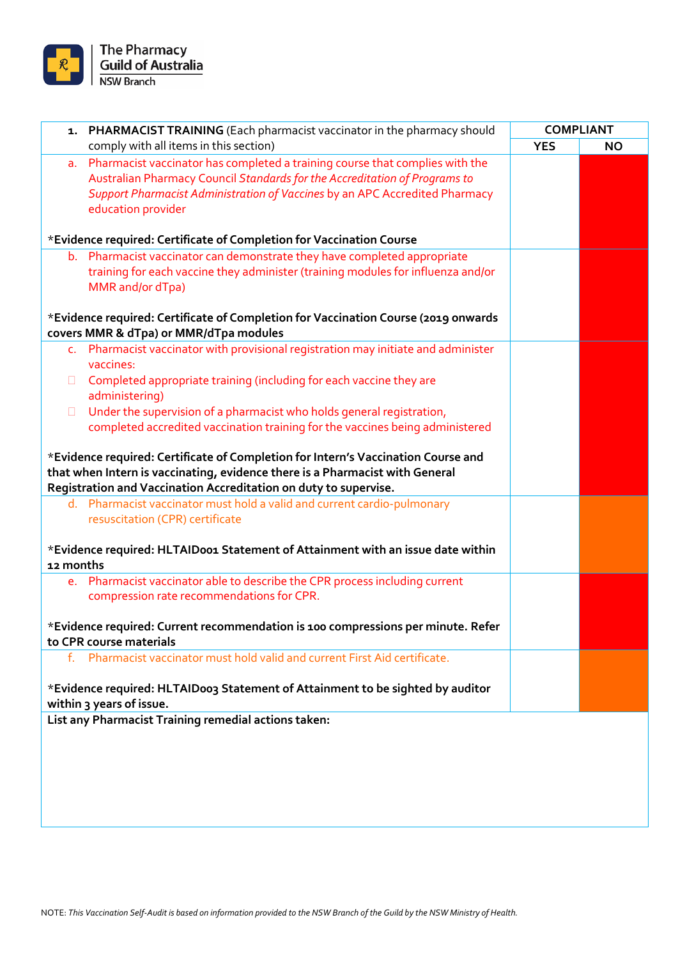

| 1.        | PHARMACIST TRAINING (Each pharmacist vaccinator in the pharmacy should             |            | <b>COMPLIANT</b> |
|-----------|------------------------------------------------------------------------------------|------------|------------------|
|           | comply with all items in this section)                                             | <b>YES</b> | <b>NO</b>        |
|           | a. Pharmacist vaccinator has completed a training course that complies with the    |            |                  |
|           | Australian Pharmacy Council Standards for the Accreditation of Programs to         |            |                  |
|           |                                                                                    |            |                  |
|           | Support Pharmacist Administration of Vaccines by an APC Accredited Pharmacy        |            |                  |
|           | education provider                                                                 |            |                  |
|           |                                                                                    |            |                  |
|           | *Evidence required: Certificate of Completion for Vaccination Course               |            |                  |
|           | b. Pharmacist vaccinator can demonstrate they have completed appropriate           |            |                  |
|           | training for each vaccine they administer (training modules for influenza and/or   |            |                  |
|           |                                                                                    |            |                  |
|           | MMR and/or dTpa)                                                                   |            |                  |
|           |                                                                                    |            |                  |
|           | *Evidence required: Certificate of Completion for Vaccination Course (2019 onwards |            |                  |
|           | covers MMR & dTpa) or MMR/dTpa modules                                             |            |                  |
|           | c. Pharmacist vaccinator with provisional registration may initiate and administer |            |                  |
|           | vaccines:                                                                          |            |                  |
| u         | Completed appropriate training (including for each vaccine they are                |            |                  |
|           | administering)                                                                     |            |                  |
|           |                                                                                    |            |                  |
| $\Box$    | Under the supervision of a pharmacist who holds general registration,              |            |                  |
|           | completed accredited vaccination training for the vaccines being administered      |            |                  |
|           |                                                                                    |            |                  |
|           | *Evidence required: Certificate of Completion for Intern's Vaccination Course and  |            |                  |
|           | that when Intern is vaccinating, evidence there is a Pharmacist with General       |            |                  |
|           | Registration and Vaccination Accreditation on duty to supervise.                   |            |                  |
|           | d. Pharmacist vaccinator must hold a valid and current cardio-pulmonary            |            |                  |
|           | resuscitation (CPR) certificate                                                    |            |                  |
|           |                                                                                    |            |                  |
|           |                                                                                    |            |                  |
|           | *Evidence required: HLTAIDoo1 Statement of Attainment with an issue date within    |            |                  |
| 12 months |                                                                                    |            |                  |
|           | e. Pharmacist vaccinator able to describe the CPR process including current        |            |                  |
|           | compression rate recommendations for CPR.                                          |            |                  |
|           |                                                                                    |            |                  |
|           | *Evidence required: Current recommendation is 100 compressions per minute. Refer   |            |                  |
|           | to CPR course materials                                                            |            |                  |
|           | f. Pharmacist vaccinator must hold valid and current First Aid certificate.        |            |                  |
|           |                                                                                    |            |                  |
|           | *Evidence required: HLTAIDoo3 Statement of Attainment to be sighted by auditor     |            |                  |
|           | within 3 years of issue.                                                           |            |                  |
|           |                                                                                    |            |                  |
|           | List any Pharmacist Training remedial actions taken:                               |            |                  |
|           |                                                                                    |            |                  |
|           |                                                                                    |            |                  |
|           |                                                                                    |            |                  |
|           |                                                                                    |            |                  |
|           |                                                                                    |            |                  |
|           |                                                                                    |            |                  |
|           |                                                                                    |            |                  |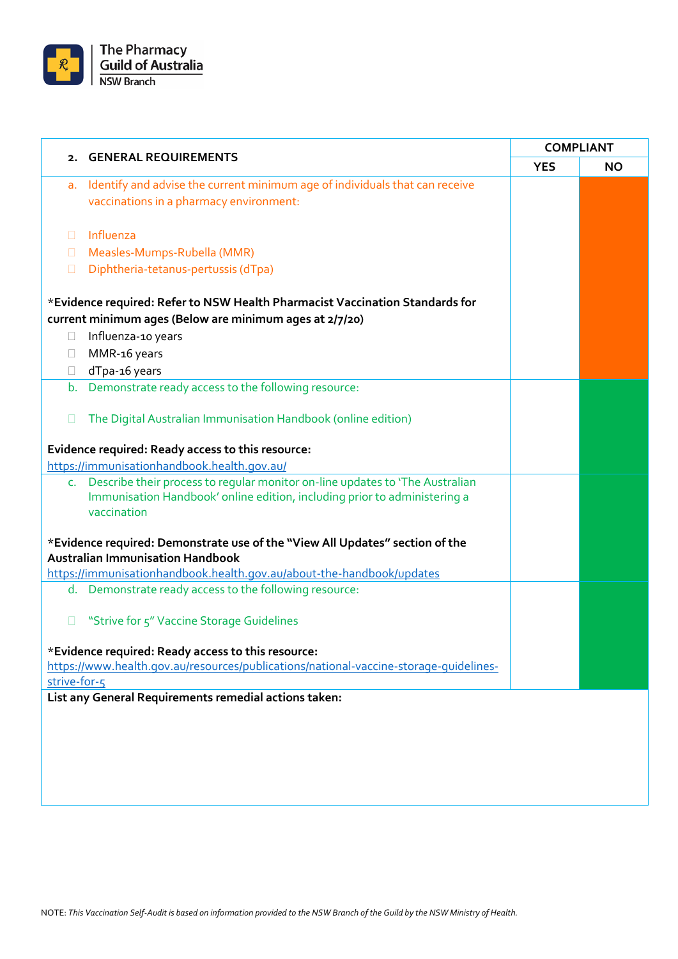

|              | 2. GENERAL REQUIREMENTS                                                                                                 | <b>COMPLIANT</b> |           |
|--------------|-------------------------------------------------------------------------------------------------------------------------|------------------|-----------|
|              |                                                                                                                         | <b>YES</b>       | <b>NO</b> |
| a.           | Identify and advise the current minimum age of individuals that can receive                                             |                  |           |
|              | vaccinations in a pharmacy environment:                                                                                 |                  |           |
|              |                                                                                                                         |                  |           |
| П.           | Influenza                                                                                                               |                  |           |
| u            | Measles-Mumps-Rubella (MMR)                                                                                             |                  |           |
| П            | Diphtheria-tetanus-pertussis (dTpa)                                                                                     |                  |           |
|              | *Evidence required: Refer to NSW Health Pharmacist Vaccination Standards for                                            |                  |           |
|              | current minimum ages (Below are minimum ages at 2/7/20)                                                                 |                  |           |
| $\Box$       | Influenza-10 years                                                                                                      |                  |           |
| $\Box$       | MMR-16 years                                                                                                            |                  |           |
| $\Box$       | dTpa-16 years                                                                                                           |                  |           |
|              | b. Demonstrate ready access to the following resource:                                                                  |                  |           |
|              |                                                                                                                         |                  |           |
| П            | The Digital Australian Immunisation Handbook (online edition)                                                           |                  |           |
|              | Evidence required: Ready access to this resource:                                                                       |                  |           |
|              | https://immunisationhandbook.health.gov.au/                                                                             |                  |           |
|              | c. Describe their process to regular monitor on-line updates to 'The Australian                                         |                  |           |
|              | Immunisation Handbook' online edition, including prior to administering a                                               |                  |           |
|              | vaccination                                                                                                             |                  |           |
|              |                                                                                                                         |                  |           |
|              | *Evidence required: Demonstrate use of the "View All Updates" section of the<br><b>Australian Immunisation Handbook</b> |                  |           |
|              | https://immunisationhandbook.health.gov.au/about-the-handbook/updates                                                   |                  |           |
|              | d. Demonstrate ready access to the following resource:                                                                  |                  |           |
|              |                                                                                                                         |                  |           |
|              | "Strive for 5" Vaccine Storage Guidelines                                                                               |                  |           |
|              |                                                                                                                         |                  |           |
|              | *Evidence required: Ready access to this resource:                                                                      |                  |           |
| strive-for-5 | https://www.health.gov.au/resources/publications/national-vaccine-storage-quidelines-                                   |                  |           |
|              | List any General Requirements remedial actions taken:                                                                   |                  |           |
|              |                                                                                                                         |                  |           |
|              |                                                                                                                         |                  |           |
|              |                                                                                                                         |                  |           |
|              |                                                                                                                         |                  |           |
|              |                                                                                                                         |                  |           |
|              |                                                                                                                         |                  |           |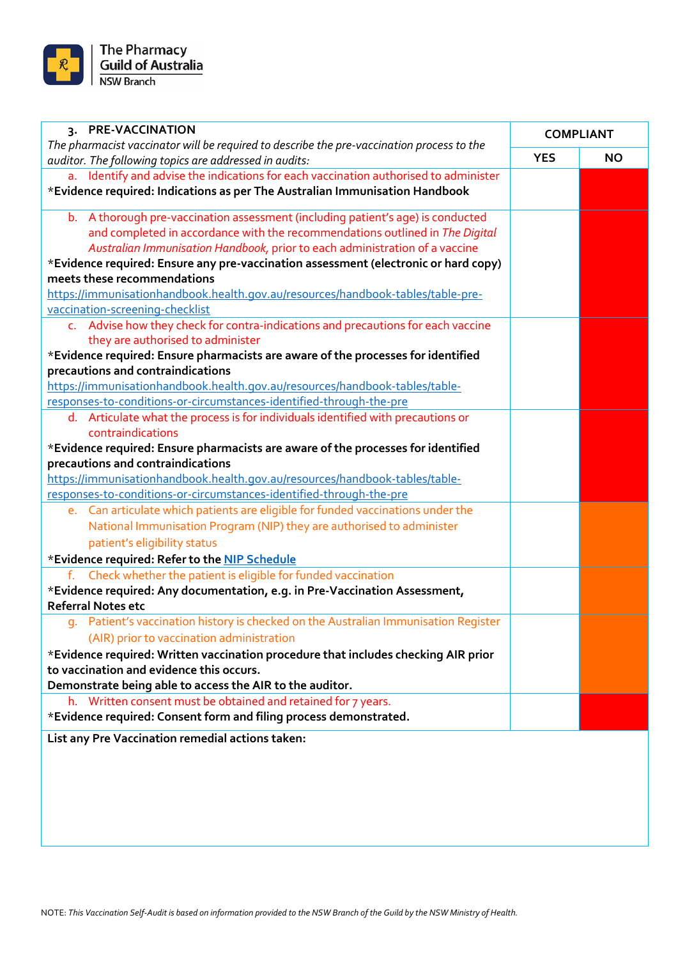

| 3. PRE-VACCINATION                                                                                                                                  | <b>COMPLIANT</b> |           |
|-----------------------------------------------------------------------------------------------------------------------------------------------------|------------------|-----------|
| The pharmacist vaccinator will be required to describe the pre-vaccination process to the<br>auditor. The following topics are addressed in audits: | <b>YES</b>       | <b>NO</b> |
| a. Identify and advise the indications for each vaccination authorised to administer                                                                |                  |           |
| *Evidence required: Indications as per The Australian Immunisation Handbook                                                                         |                  |           |
| b. A thorough pre-vaccination assessment (including patient's age) is conducted                                                                     |                  |           |
| and completed in accordance with the recommendations outlined in The Digital                                                                        |                  |           |
| Australian Immunisation Handbook, prior to each administration of a vaccine                                                                         |                  |           |
| *Evidence required: Ensure any pre-vaccination assessment (electronic or hard copy)                                                                 |                  |           |
| meets these recommendations                                                                                                                         |                  |           |
| https://immunisationhandbook.health.gov.au/resources/handbook-tables/table-pre-                                                                     |                  |           |
| vaccination-screening-checklist                                                                                                                     |                  |           |
| c. Advise how they check for contra-indications and precautions for each vaccine<br>they are authorised to administer                               |                  |           |
| *Evidence required: Ensure pharmacists are aware of the processes for identified                                                                    |                  |           |
| precautions and contraindications                                                                                                                   |                  |           |
| https://immunisationhandbook.health.gov.au/resources/handbook-tables/table-                                                                         |                  |           |
| responses-to-conditions-or-circumstances-identified-through-the-pre                                                                                 |                  |           |
| d. Articulate what the process is for individuals identified with precautions or                                                                    |                  |           |
| contraindications                                                                                                                                   |                  |           |
| *Evidence required: Ensure pharmacists are aware of the processes for identified                                                                    |                  |           |
| precautions and contraindications                                                                                                                   |                  |           |
| https://immunisationhandbook.health.gov.au/resources/handbook-tables/table-                                                                         |                  |           |
| responses-to-conditions-or-circumstances-identified-through-the-pre                                                                                 |                  |           |
| e. Can articulate which patients are eligible for funded vaccinations under the                                                                     |                  |           |
| National Immunisation Program (NIP) they are authorised to administer                                                                               |                  |           |
| patient's eligibility status                                                                                                                        |                  |           |
| *Evidence required: Refer to the NIP Schedule                                                                                                       |                  |           |
| Check whether the patient is eligible for funded vaccination<br>f.                                                                                  |                  |           |
| *Evidence required: Any documentation, e.g. in Pre-Vaccination Assessment,<br><b>Referral Notes etc</b>                                             |                  |           |
| g. Patient's vaccination history is checked on the Australian Immunisation Register                                                                 |                  |           |
| (AIR) prior to vaccination administration                                                                                                           |                  |           |
| *Evidence required: Written vaccination procedure that includes checking AIR prior                                                                  |                  |           |
| to vaccination and evidence this occurs.                                                                                                            |                  |           |
| Demonstrate being able to access the AIR to the auditor.                                                                                            |                  |           |
| h. Written consent must be obtained and retained for 7 years.                                                                                       |                  |           |
| *Evidence required: Consent form and filing process demonstrated.                                                                                   |                  |           |
| List any Pre Vaccination remedial actions taken:                                                                                                    |                  |           |
|                                                                                                                                                     |                  |           |
|                                                                                                                                                     |                  |           |
|                                                                                                                                                     |                  |           |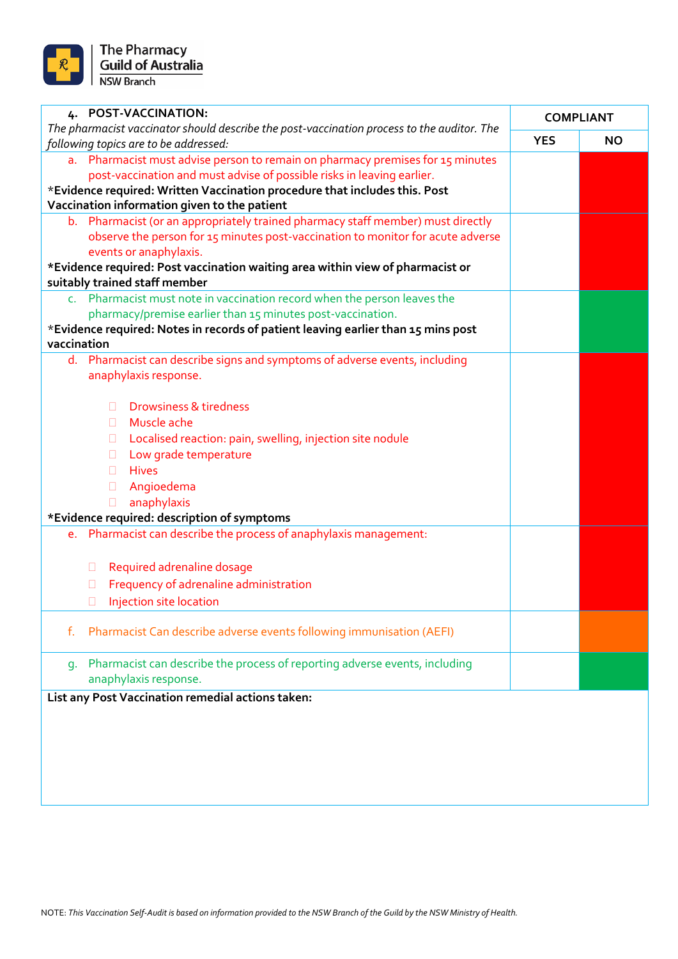

| 4. POST-VACCINATION:                                                                                                                |            | <b>COMPLIANT</b> |
|-------------------------------------------------------------------------------------------------------------------------------------|------------|------------------|
| The pharmacist vaccinator should describe the post-vaccination process to the auditor. The<br>following topics are to be addressed: | <b>YES</b> | <b>NO</b>        |
| a. Pharmacist must advise person to remain on pharmacy premises for 15 minutes                                                      |            |                  |
| post-vaccination and must advise of possible risks in leaving earlier.                                                              |            |                  |
| *Evidence required: Written Vaccination procedure that includes this. Post                                                          |            |                  |
| Vaccination information given to the patient                                                                                        |            |                  |
| b. Pharmacist (or an appropriately trained pharmacy staff member) must directly                                                     |            |                  |
| observe the person for 15 minutes post-vaccination to monitor for acute adverse                                                     |            |                  |
| events or anaphylaxis.                                                                                                              |            |                  |
| *Evidence required: Post vaccination waiting area within view of pharmacist or<br>suitably trained staff member                     |            |                  |
| c. Pharmacist must note in vaccination record when the person leaves the                                                            |            |                  |
| pharmacy/premise earlier than 15 minutes post-vaccination.                                                                          |            |                  |
| *Evidence required: Notes in records of patient leaving earlier than 15 mins post                                                   |            |                  |
| vaccination                                                                                                                         |            |                  |
| d. Pharmacist can describe signs and symptoms of adverse events, including                                                          |            |                  |
| anaphylaxis response.                                                                                                               |            |                  |
|                                                                                                                                     |            |                  |
| <b>Drowsiness &amp; tiredness</b><br>п                                                                                              |            |                  |
| Muscle ache<br>ш                                                                                                                    |            |                  |
| Localised reaction: pain, swelling, injection site nodule<br>$\Box$<br>Low grade temperature                                        |            |                  |
| $\Box$<br><b>Hives</b><br>n.                                                                                                        |            |                  |
| Angioedema<br>$\Box$                                                                                                                |            |                  |
| anaphylaxis<br>$\Box$                                                                                                               |            |                  |
| *Evidence required: description of symptoms                                                                                         |            |                  |
| Pharmacist can describe the process of anaphylaxis management:<br>e.                                                                |            |                  |
|                                                                                                                                     |            |                  |
| Required adrenaline dosage<br>Ш                                                                                                     |            |                  |
| Frequency of adrenaline administration<br>Ш                                                                                         |            |                  |
| Injection site location<br>Ш                                                                                                        |            |                  |
|                                                                                                                                     |            |                  |
| Pharmacist Can describe adverse events following immunisation (AEFI)<br>f.                                                          |            |                  |
| Pharmacist can describe the process of reporting adverse events, including<br>q.                                                    |            |                  |
| anaphylaxis response.                                                                                                               |            |                  |
| List any Post Vaccination remedial actions taken:                                                                                   |            |                  |
|                                                                                                                                     |            |                  |
|                                                                                                                                     |            |                  |
|                                                                                                                                     |            |                  |
|                                                                                                                                     |            |                  |
|                                                                                                                                     |            |                  |
|                                                                                                                                     |            |                  |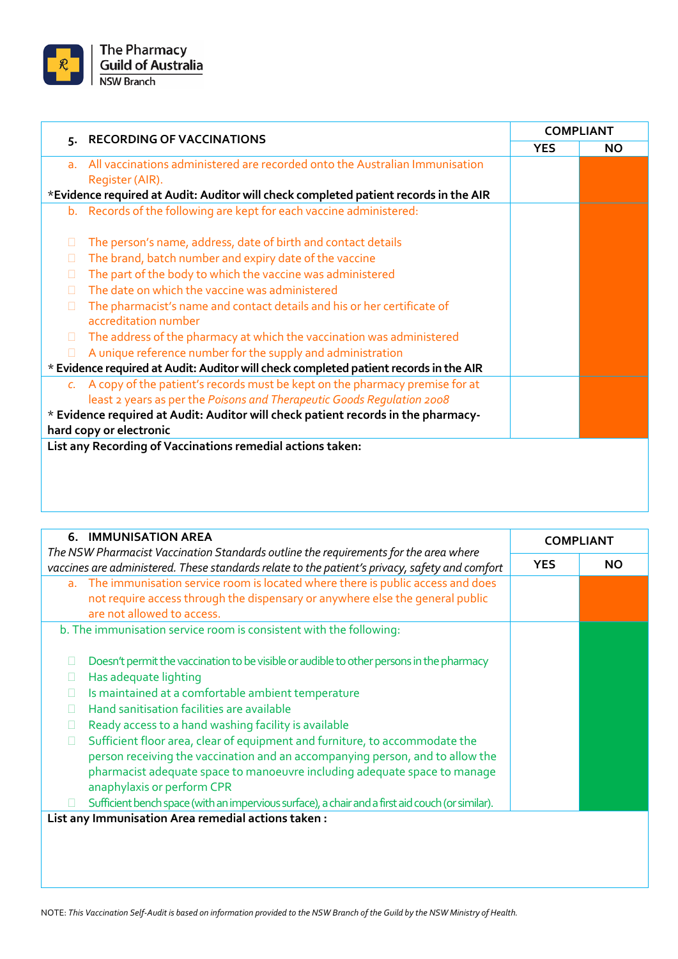

|                 | 5. RECORDING OF VACCINATIONS                                                                                 | <b>COMPLIANT</b> |           |
|-----------------|--------------------------------------------------------------------------------------------------------------|------------------|-----------|
|                 |                                                                                                              | <b>YES</b>       | <b>NO</b> |
| a <sub>r</sub>  | All vaccinations administered are recorded onto the Australian Immunisation                                  |                  |           |
|                 | Register (AIR).                                                                                              |                  |           |
|                 | *Evidence required at Audit: Auditor will check completed patient records in the AIR                         |                  |           |
| b.              | Records of the following are kept for each vaccine administered:                                             |                  |           |
| П               | The person's name, address, date of birth and contact details                                                |                  |           |
| П               | The brand, batch number and expiry date of the vaccine                                                       |                  |           |
| П               | The part of the body to which the vaccine was administered                                                   |                  |           |
| n               | The date on which the vaccine was administered                                                               |                  |           |
| П               | The pharmacist's name and contact details and his or her certificate of<br>accreditation number              |                  |           |
| $\Box$          | The address of the pharmacy at which the vaccination was administered                                        |                  |           |
| П               | A unique reference number for the supply and administration                                                  |                  |           |
|                 | * Evidence required at Audit: Auditor will check completed patient records in the AIR                        |                  |           |
| $\mathcal{C}$ . | A copy of the patient's records must be kept on the pharmacy premise for at                                  |                  |           |
|                 | least 2 years as per the Poisons and Therapeutic Goods Regulation 2008                                       |                  |           |
|                 | * Evidence required at Audit: Auditor will check patient records in the pharmacy-<br>hard copy or electronic |                  |           |
|                 | List any Recording of Vaccinations remedial actions taken:                                                   |                  |           |
|                 |                                                                                                              |                  |           |
|                 |                                                                                                              |                  |           |
|                 |                                                                                                              |                  |           |
|                 |                                                                                                              |                  |           |

| <b>6. IMMUNISATION AREA</b>                                                                                                                                                                                                                                                                                                                                                           | <b>COMPLIANT</b> |           |
|---------------------------------------------------------------------------------------------------------------------------------------------------------------------------------------------------------------------------------------------------------------------------------------------------------------------------------------------------------------------------------------|------------------|-----------|
| The NSW Pharmacist Vaccination Standards outline the requirements for the area where<br>vaccines are administered. These standards relate to the patient's privacy, safety and comfort                                                                                                                                                                                                | <b>YES</b>       | <b>NO</b> |
| a. The immunisation service room is located where there is public access and does<br>not require access through the dispensary or anywhere else the general public<br>are not allowed to access.                                                                                                                                                                                      |                  |           |
| b. The immunisation service room is consistent with the following:                                                                                                                                                                                                                                                                                                                    |                  |           |
| Doesn't permit the vaccination to be visible or audible to other persons in the pharmacy<br>Has adequate lighting<br>Ш<br>Is maintained at a comfortable ambient temperature<br>□<br>Hand sanitisation facilities are available<br>П<br>Ready access to a hand washing facility is available<br>□<br>Sufficient floor area, clear of equipment and furniture, to accommodate the<br>□ |                  |           |
| person receiving the vaccination and an accompanying person, and to allow the<br>pharmacist adequate space to manoeuvre including adequate space to manage<br>anaphylaxis or perform CPR<br>Sufficient bench space (with an impervious surface), a chair and a first aid couch (or similar).                                                                                          |                  |           |
| List any Immunisation Area remedial actions taken:                                                                                                                                                                                                                                                                                                                                    |                  |           |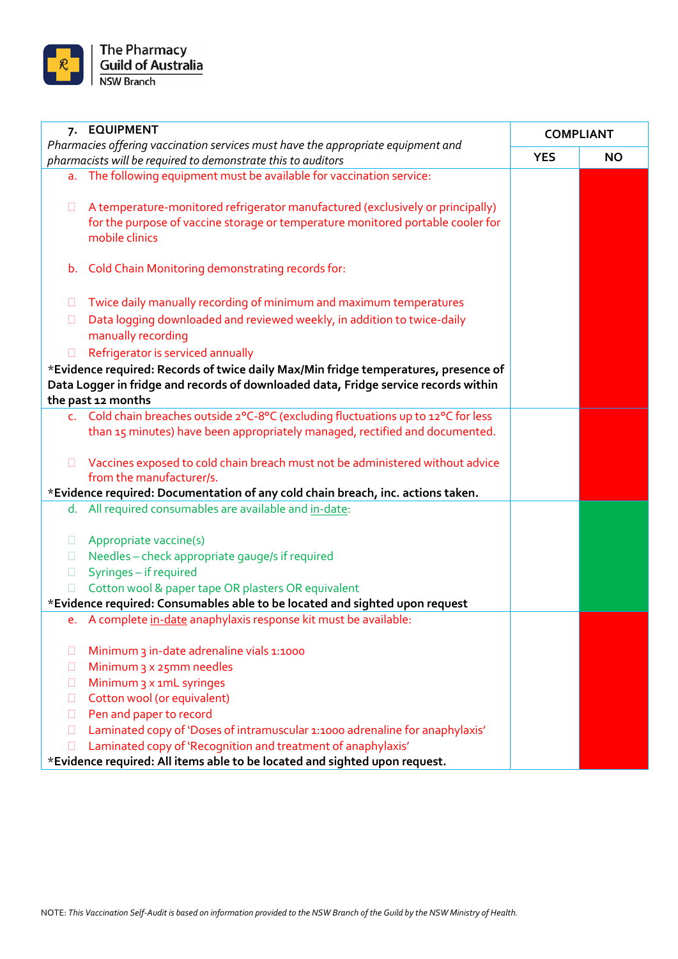

|        | 7. EQUIPMENT                                                                                                                                     | <b>COMPLIANT</b> |           |
|--------|--------------------------------------------------------------------------------------------------------------------------------------------------|------------------|-----------|
|        | Pharmacies offering vaccination services must have the appropriate equipment and<br>pharmacists will be required to demonstrate this to auditors | <b>YES</b>       | <b>NO</b> |
|        | a. The following equipment must be available for vaccination service:                                                                            |                  |           |
|        |                                                                                                                                                  |                  |           |
| $\Box$ | A temperature-monitored refrigerator manufactured (exclusively or principally)                                                                   |                  |           |
|        | for the purpose of vaccine storage or temperature monitored portable cooler for                                                                  |                  |           |
|        | mobile clinics                                                                                                                                   |                  |           |
|        |                                                                                                                                                  |                  |           |
| b.     | Cold Chain Monitoring demonstrating records for:                                                                                                 |                  |           |
|        |                                                                                                                                                  |                  |           |
| $\Box$ | Twice daily manually recording of minimum and maximum temperatures                                                                               |                  |           |
| $\Box$ | Data logging downloaded and reviewed weekly, in addition to twice-daily                                                                          |                  |           |
|        | manually recording                                                                                                                               |                  |           |
| $\Box$ | Refrigerator is serviced annually                                                                                                                |                  |           |
|        | *Evidence required: Records of twice daily Max/Min fridge temperatures, presence of                                                              |                  |           |
|        | Data Logger in fridge and records of downloaded data, Fridge service records within                                                              |                  |           |
|        | the past 12 months                                                                                                                               |                  |           |
|        | c. Cold chain breaches outside 2°C-8°C (excluding fluctuations up to 12°C for less                                                               |                  |           |
|        | than 15 minutes) have been appropriately managed, rectified and documented.                                                                      |                  |           |
|        |                                                                                                                                                  |                  |           |
| $\Box$ | Vaccines exposed to cold chain breach must not be administered without advice                                                                    |                  |           |
|        | from the manufacturer/s.<br>*Evidence required: Documentation of any cold chain breach, inc. actions taken.                                      |                  |           |
|        | d. All required consumables are available and in-date:                                                                                           |                  |           |
|        |                                                                                                                                                  |                  |           |
| $\Box$ | Appropriate vaccine(s)                                                                                                                           |                  |           |
| $\Box$ | Needles - check appropriate gauge/s if required                                                                                                  |                  |           |
| $\Box$ | Syringes - if required                                                                                                                           |                  |           |
|        | Cotton wool & paper tape OR plasters OR equivalent                                                                                               |                  |           |
|        | *Evidence required: Consumables able to be located and sighted upon request                                                                      |                  |           |
|        | e. A complete in-date anaphylaxis response kit must be available:                                                                                |                  |           |
|        |                                                                                                                                                  |                  |           |
| П      | Minimum 3 in-date adrenaline vials 1:1000                                                                                                        |                  |           |
| ш      | Minimum 3 x 25mm needles                                                                                                                         |                  |           |
| П      | Minimum 3 x 1mL syringes                                                                                                                         |                  |           |
| П      | Cotton wool (or equivalent)                                                                                                                      |                  |           |
| $\Box$ | Pen and paper to record                                                                                                                          |                  |           |
| П      | Laminated copy of 'Doses of intramuscular 1:1000 adrenaline for anaphylaxis'                                                                     |                  |           |
| П      | Laminated copy of 'Recognition and treatment of anaphylaxis'                                                                                     |                  |           |
|        | *Evidence required: All items able to be located and sighted upon request.                                                                       |                  |           |